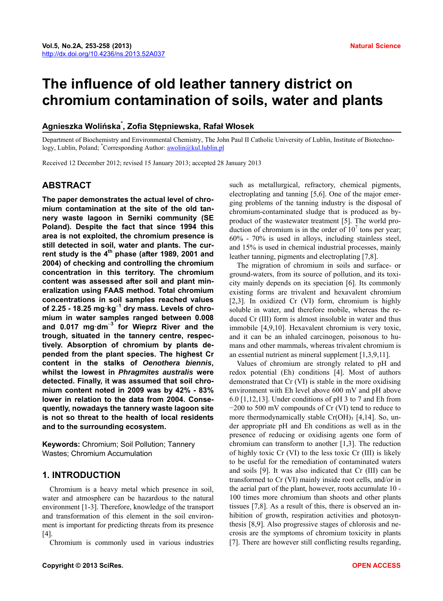# **The influence of old leather tannery district on chromium contamination of soils, water and plants**

# **Agnieszka Wolińska\* , Zofia Stępniewska, Rafał Włosek**

Department of Biochemistry and Environmental Chemistry, The John Paul II Catholic University of Lublin, Institute of Biotechnology, Lublin, Poland; \*Corresponding Author: **awolin@kul.lublin.pl** 

Received 12 December 2012; revised 15 January 2013; accepted 28 January 2013

# **ABSTRACT**

**The paper demonstrates the actual level of chromium contamination at the site of the old tannery waste lagoon in Serniki community (SE Poland). Despite the fact that since 1994 this area is not exploited, the chromium presence is still detected in soil, water and plants. The current study is the 4th phase (after 1989, 2001 and 2004) of checking and controlling the chromium concentration in this territory. The chromium content was assessed after soil and plant mineralization using FAAS method. Total chromium concentrations in soil samples reached values of 2.25 - 18.25 mg·kg<sup>−</sup><sup>1</sup> dry mass. Levels of chromium in water samples ranged between 0.008 and 0.017 mg·dm<sup>−</sup><sup>3</sup> for Wieprz River and the trough, situated in the tannery centre, respectively. Absorption of chromium by plants depended from the plant species. The highest Cr content in the stalks of** *Oenothera biennis***, whilst the lowest in** *Phragmites australis* **were detected. Finally, it was assumed that soil chromium content noted in 2009 was by 42% - 83% lower in relation to the data from 2004. Consequently, nowadays the tannery waste lagoon site is not so threat to the health of local residents and to the surrounding ecosystem.** 

**Keywords:** Chromium; Soil Pollution; Tannery Wastes; Chromium Accumulation

# **1. INTRODUCTION**

Chromium is a heavy metal which presence in soil, water and atmosphere can be hazardous to the natural environment [1-3]. Therefore, knowledge of the transport and transformation of this element in the soil environment is important for predicting threats from its presence [4].

Chromium is commonly used in various industries

such as metallurgical, refractory, chemical pigments, electroplating and tanning [5,6]. One of the major emerging problems of the tanning industry is the disposal of chromium-contaminated sludge that is produced as byproduct of the wastewater treatment [5]. The world production of chromium is in the order of  $10<sup>7</sup>$  tons per year; 60% - 70% is used in alloys, including stainless steel, and 15% is used in chemical industrial processes, mainly leather tanning, pigments and electroplating [7,8].

The migration of chromium in soils and surface- or ground-waters, from its source of pollution, and its toxicity mainly depends on its speciation [6]. Its commonly existing forms are trivalent and hexavalent chromium [2,3]. In oxidized Cr (VI) form, chromium is highly soluble in water, and therefore mobile, whereas the reduced Cr (III) form is almost insoluble in water and thus immobile [4,9,10]. Hexavalent chromium is very toxic, and it can be an inhaled carcinogen, poisonous to humans and other mammals, whereas trivalent chromium is an essential nutrient as mineral supplement [1,3,9,11].

Values of chromium are strongly related to pH and redox potential (Eh) conditions [4]. Most of authors demonstrated that Cr (VI) is stable in the more oxidising environment with Eh level above 600 mV and pH above 6.0 [1,12,13]. Under conditions of pH 3 to 7 and Eh from −200 to 500 mV compounds of Cr (VI) tend to reduce to more thermodynamically stable  $Cr(OH)$ <sub>3</sub> [4,14]. So, under appropriate pH and Eh conditions as well as in the presence of reducing or oxidising agents one form of chromium can transform to another [1,3]. The reduction of highly toxic Cr (VI) to the less toxic Cr (III) is likely to be useful for the remediation of contaminated waters and soils [9]. It was also indicated that Cr (III) can be transformed to Cr (VI) mainly inside root cells, and/or in the aerial part of the plant, however, roots accumulate 10 - 100 times more chromium than shoots and other plants tissues [7,8]. As a result of this, there is observed an inhibition of growth, respiration activities and photosynthesis [8,9]. Also progressive stages of chlorosis and necrosis are the symptoms of chromium toxicity in plants [7]. There are however still conflicting results regarding,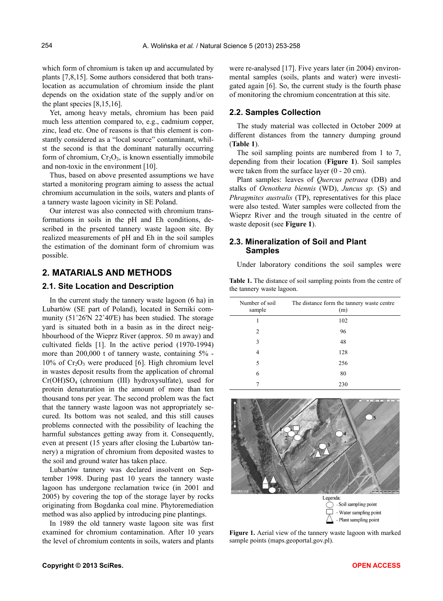which form of chromium is taken up and accumulated by plants [7,8,15]. Some authors considered that both translocation as accumulation of chromium inside the plant depends on the oxidation state of the supply and/or on the plant species [8,15,16].

Yet, among heavy metals, chromium has been paid much less attention compared to, e.g., cadmium copper, zinc, lead etc. One of reasons is that this element is constantly considered as a "local source" contaminant, whilst the second is that the dominant naturally occurring form of chromium,  $Cr_2O_3$ , is known essentially immobile and non-toxic in the environment [10].

Thus, based on above presented assumptions we have started a monitoring program aiming to assess the actual chromium accumulation in the soils, waters and plants of a tannery waste lagoon vicinity in SE Poland.

Our interest was also connected with chromium transformations in soils in the pH and Eh conditions, described in the prsented tannery waste lagoon site. By realized measurements of pH and Eh in the soil samples the estimation of the dominant form of chromium was possible.

# **2. MATARIALS AND METHODS**

## **2.1. Site Location and Description**

In the current study the tannery waste lagoon (6 ha) in Lubartów (SE part of Poland), located in Serniki community (51˚26'N 22˚40'E) has been studied. The storage yard is situated both in a basin as in the direct neighbourhood of the Wieprz River (approx. 50 m away) and cultivated fields [1]. In the active period (1970-1994) more than 200,000 t of tannery waste, containing 5% -  $10\%$  of Cr<sub>2</sub>O<sub>3</sub> were produced [6]. High chromium level in wastes deposit results from the application of chromal Cr(OH)SO4 (chromium (III) hydroxysulfate), used for protein denaturation in the amount of more than ten thousand tons per year. The second problem was the fact that the tannery waste lagoon was not appropriately secured. Its bottom was not sealed, and this still causes problems connected with the possibility of leaching the harmful substances getting away from it. Consequently, even at present (15 years after closing the Lubartów tannery) a migration of chromium from deposited wastes to the soil and ground water has taken place.

Lubartów tannery was declared insolvent on September 1998. During past 10 years the tannery waste lagoon has undergone reclamation twice (in 2001 and 2005) by covering the top of the storage layer by rocks originating from Bogdanka coal mine. Phytoremediation method was also applied by introducing pine plantings.

In 1989 the old tannery waste lagoon site was first examined for chromium contamination. After 10 years the level of chromium contents in soils, waters and plants

were re-analysed [17]. Five years later (in 2004) environmental samples (soils, plants and water) were investigated again [6]. So, the current study is the fourth phase of monitoring the chromium concentration at this site.

#### **2.2. Samples Collection**

The study material was collected in October 2009 at different distances from the tannery dumping ground (**Table 1**).

The soil sampling points are numbered from 1 to 7, depending from their location (**Figure 1**). Soil samples were taken from the surface layer (0 - 20 cm).

Plant samples: leaves of *Quercus petraea* (DB) and stalks of *Oenothera biennis* (WD), *Juncus sp.* (S) and *Phragmites australis* (TP), representatives for this place were also tested. Water samples were collected from the Wieprz River and the trough situated in the centre of waste deposit (see **Figure 1**).

# **2.3. Mineralization of Soil and Plant Samples**

Under laboratory conditions the soil samples were

**Table 1.** The distance of soil sampling points from the centre of the tannery waste lagoon.

| Number of soil<br>sample | The distance form the tannery waste centre<br>(m) |
|--------------------------|---------------------------------------------------|
| 1                        | 102                                               |
| 2                        | 96                                                |
| 3                        | 48                                                |
| 4                        | 128                                               |
| 5                        | 256                                               |
| 6                        | 80                                                |
|                          | 230                                               |



**Figure 1.** Aerial view of the tannery waste lagoon with marked sample points (maps.geoportal.gov.pl).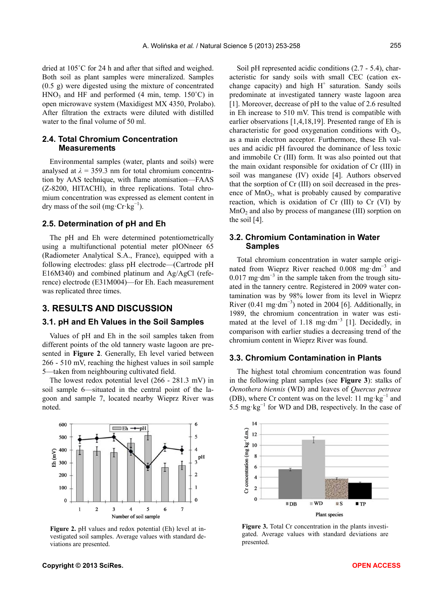dried at 105˚C for 24 h and after that sifted and weighed. Both soil as plant samples were mineralized. Samples (0.5 g) were digested using the mixture of concentrated  $HNO<sub>3</sub>$  and HF and performed (4 min, temp. 150 $^{\circ}$ C) in open microwave system (Maxidigest MX 4350, Prolabo). After filtration the extracts were diluted with distilled water to the final volume of 50 ml.

## **2.4. Total Chromium Concentration Measurements**

Environmental samples (water, plants and soils) were analysed at  $\lambda = 359.3$  nm for total chromium concentration by AAS technique, with flame atomisation—FAAS (Z-8200, HITACHI), in three replications. Total chromium concentration was expressed as element content in dry mass of the soil (mg·Cr·kg<sup>-1</sup>).

#### **2.5. Determination of pH and Eh**

The pH and Eh were determined potentiometrically using a multifunctional potential meter pIONneer 65 (Radiometer Analytical S.A., France), equipped with a following electrodes: glass pH electrode—(Cartrode pH E16M340) and combined platinum and Ag/AgCl (reference) electrode (E31M004)—for Eh. Each measurement was replicated three times.

# **3. RESULTS AND DISCUSSION**

#### **3.1. pH and Eh Values in the Soil Samples**

Values of pH and Eh in the soil samples taken from different points of the old tannery waste lagoon are presented in **Figure 2**. Generally, Eh level varied between 266 - 510 mV, reaching the highest values in soil sample 5—taken from neighbouring cultivated field.

The lowest redox potential level (266 - 281.3 mV) in soil sample 6—situated in the central point of the lagoon and sample 7, located nearby Wieprz River was noted.



**Figure 2.** pH values and redox potential (Eh) level at investigated soil samples. Average values with standard deviations are presented.

Soil pH represented acidic conditions  $(2.7 - 5.4)$ , characteristic for sandy soils with small CEC (cation exchange capacity) and high  $H^+$  saturation. Sandy soils predominate at investigated tannery waste lagoon area [1]. Moreover, decrease of pH to the value of 2.6 resulted in Eh increase to 510 mV. This trend is compatible with earlier observations [1,4,18,19]. Presented range of Eh is characteristic for good oxygenation conditions with  $O_2$ , as a main electron acceptor. Furthermore, these Eh values and acidic pH favoured the dominance of less toxic and immobile Cr (III) form. It was also pointed out that the main oxidant responsible for oxidation of Cr (III) in soil was manganese (IV) oxide [4]. Authors observed that the sorption of Cr (III) on soil decreased in the presence of  $MnO<sub>2</sub>$ , what is probably caused by comparative reaction, which is oxidation of Cr (III) to Cr (VI) by  $MnO<sub>2</sub>$  and also by process of manganese (III) sorption on the soil [4].

## **3.2. Chromium Contamination in Water Samples**

Total chromium concentration in water sample originated from Wieprz River reached 0.008 mg·dm<sup>-3</sup> and 0.017 mg·dm<sup>-3</sup> in the sample taken from the trough situated in the tannery centre. Registered in 2009 water contamination was by 98% lower from its level in Wieprz River  $(0.41 \text{ mg} \cdot \text{dm}^{-3})$  noted in 2004 [6]. Additionally, in 1989, the chromium concentration in water was estimated at the level of 1.18 mg·dm<sup>-3</sup> [1]. Decidedly, in comparison with earlier studies a decreasing trend of the chromium content in Wieprz River was found.

#### **3.3. Chromium Contamination in Plants**

The highest total chromium concentration was found in the following plant samples (see **Figure 3**): stalks of *Oenothera biennis* (WD) and leaves of *Quercus petraea* (DB), where Cr content was on the level: 11 mg·kg<sup>-1</sup> and 5.5 mg⋅kg<sup>-1</sup> for WD and DB, respectively. In the case of



Figure 3. Total Cr concentration in the plants investigated. Average values with standard deviations are presented.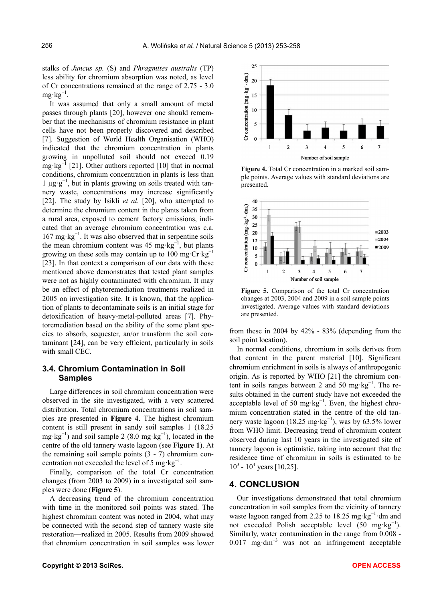stalks of *Juncus sp.* (S) and *Phragmites australis* (TP) less ability for chromium absorption was noted, as level of Cr concentrations remained at the range of 2.75 - 3.0  $mg \cdot kg^{-1}$ .

It was assumed that only a small amount of metal passes through plants [20], however one should remember that the mechanisms of chromium resistance in plant cells have not been properly discovered and described [7]. Suggestion of World Health Organisation (WHO) indicated that the chromium concentration in plants growing in unpolluted soil should not exceed 0.19 mg·kg $^{-1}$  [21]. Other authors reported [10] that in normal conditions, chromium concentration in plants is less than 1 µg·g<sup>−</sup><sup>1</sup> , but in plants growing on soils treated with tannery waste, concentrations may increase significantly [22]. The study by Isikli *et al.* [20], who attempted to determine the chromium content in the plants taken from a rural area, exposed to cement factory emissions, indicated that an average chromium concentration was c.a. 167 mg·kg<sup>−</sup><sup>1</sup> . It was also observed that in serpentine soils the mean chromium content was 45 mg·kg<sup>-1</sup>, but plants growing on these soils may contain up to 100 mg·Cr·kg<sup>-1</sup> [23]. In that context a comparison of our data with these mentioned above demonstrates that tested plant samples were not as highly contaminated with chromium. It may be an effect of phytoremediation treatments realized in 2005 on investigation site. It is known, that the application of plants to decontaminate soils is an initial stage for detoxification of heavy-metal-polluted areas [7]. Phytoremediation based on the ability of the some plant species to absorb, sequester, an/or transform the soil contaminant [24], can be very efficient, particularly in soils with small CEC.

# **3.4. Chromium Contamination in Soil Samples**

Large differences in soil chromium concentration were observed in the site investigated, with a very scattered distribution. Total chromium concentrations in soil samples are presented in **Figure 4**. The highest chromium content is still present in sandy soil samples 1 (18.25 mg·kg<sup>-1</sup>) and soil sample 2 (8.0 mg·kg<sup>-1</sup>), located in the centre of the old tannery waste lagoon (see **Figure 1**). At the remaining soil sample points (3 - 7) chromium concentration not exceeded the level of 5 mg⋅kg<sup>-1</sup>.

Finally, comparison of the total Cr concentration changes (from 2003 to 2009) in a investigated soil samples were done (**Figure 5**).

A decreasing trend of the chromium concentration with time in the monitored soil points was stated. The highest chromium content was noted in 2004, what may be connected with the second step of tannery waste site restoration—realized in 2005. Results from 2009 showed that chromium concentration in soil samples was lower



**Figure 4.** Total Cr concentration in a marked soil sample points. Average values with standard deviations are presented.



**Figure 5.** Comparison of the total Cr concentration changes at 2003, 2004 and 2009 in a soil sample points investigated. Average values with standard deviations are presented.

from these in 2004 by 42% - 83% (depending from the soil point location).

In normal conditions, chromium in soils derives from that content in the parent material [10]. Significant chromium enrichment in soils is always of anthropogenic origin. As is reported by WHO [21] the chromium content in soils ranges between 2 and 50 mg·kg<sup>-1</sup>. The results obtained in the current study have not exceeded the acceptable level of 50 mg·kg<sup>-1</sup>. Even, the highest chromium concentration stated in the centre of the old tannery waste lagoon (18.25 mg·kg<sup>-1</sup>), was by 63.5% lower from WHO limit. Decreasing trend of chromium content observed during last 10 years in the investigated site of tannery lagoon is optimistic, taking into account that the residence time of chromium in soils is estimated to be  $10^3 - 10^4$  years [10,25].

# **4. CONCLUSION**

Our investigations demonstrated that total chromium concentration in soil samples from the vicinity of tannery waste lagoon ranged from 2.25 to 18.25 mg⋅kg<sup>-1</sup>⋅dm and not exceeded Polish acceptable level  $(50 \text{ mg} \cdot \text{kg}^{-1})$ . Similarly, water contamination in the range from 0.008 - 0.017 mg·dm<sup>-3</sup> was not an infringement acceptable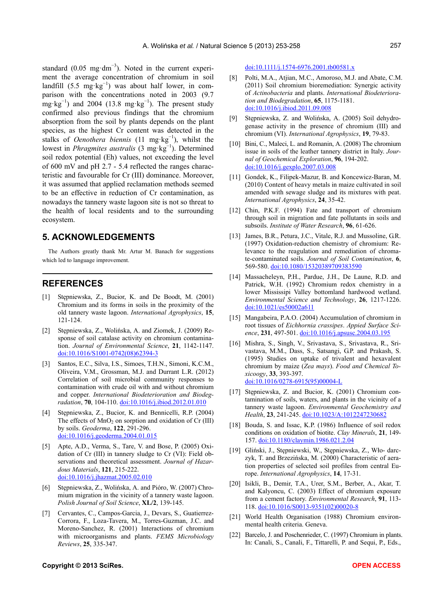standard  $(0.05 \text{ mg} \cdot \text{dm}^{-3})$ . Noted in the current experiment the average concentration of chromium in soil landfill  $(5.5 \text{ mg} \cdot \text{kg}^{-1})$  was about half lower, in comparison with the concentrations noted in 2003 (9.7 mg·kg<sup>-1</sup>) and 2004 (13.8 mg·kg<sup>-1</sup>). The present study confirmed also previous findings that the chromium absorption from the soil by plants depends on the plant species, as the highest Cr content was detected in the stalks of *Oenothera biennis* (11 mg·kg<sup>-1</sup>), whilst the lowest in *Phragmites australis* (3 mg·kg<sup>−</sup><sup>1</sup> ). Determined soil redox potential (Eh) values, not exceeding the level of 600 mV and pH 2.7 - 5.4 reflected the ranges characteristic and favourable for Cr (III) dominance. Moreover, it was assumed that applied reclamation methods seemed to be an effective in reduction of Cr contamination, as nowadays the tannery waste lagoon site is not so threat to the health of local residents and to the surrounding ecosystem.

# **5. ACKNOWLEDGEMENTS**

The Authors greatly thank Mr. Artur M. Banach for suggestions which led to language improvement.

## **REFERENCES**

- [1] Stępniewska, Z., Bucior, K. and De Boodt, M. (2001) Chromium and its forms in soils in the proximity of the old tannery waste lagoon. *International Agrophysics*, **15**, 121-124.
- [2] Stępniewska, Z., Wolińska, A. and Ziomek, J. (2009) Response of soil catalase activity on chromium contamination. *Journal of Environmental Science*, **21**, 1142-1147. [doi:10.1016/S1001-0742\(08\)62394-3](http://dx.doi.org/10.1016/S1001-0742(08)62394-3)
- [3] Santos, E.C., Silva, I.S., Simoes, T.H.N., Simoni, K.C.M., Oliveira, V.M., Grossman, M.J. and Durrant L.R. (2012) Correlation of soil microbial community responses to contamination with crude oil with and without chromium and copper. *International Biodeterioration and Biodegradation*, **70**, 104-110. [doi:10.1016/j.ibiod.2012.01.010](http://dx.doi.org/10.1016/j.ibiod.2012.01.010)
- [4] Stępniewska, Z., Bucior, K. and Bennicelli, R.P. (2004) The effects of  $MnO<sub>2</sub>$  on sorption and oxidation of Cr (III) by soils. *Geoderma*, **122**, 291-296. [doi:10.1016/j.geoderma.2004.01.015](http://dx.doi.org/10.1016/j.geoderma.2004.01.015)
- [5] Apte, A.D., Verma, S., Tare, V. and Bose, P. (2005) Oxidation of Cr (III) in tannery sludge to Cr (VI): Field observations and theoretical assessment. *Journal of Hazardous Materials*, **121**, 215-222. [doi:10.1016/j.jhazmat.2005.02.010](http://dx.doi.org/10.1016/j.jhazmat.2005.02.010)
- [6] Stępniewska, Z., Wolińska, A. and Pióro, W. (2007) Chromium migration in the vicinity of a tannery waste lagoon. *Polish Journal of Soil Science*, **XL/2**, 139-145.
- [7] Cervantes, C., Campos-Garcia, J., Devars, S., Guatierrez-Corrora, F., Loza-Tavera, M., Torres-Guzman, J.C. and Moreno-Sanchez, R. (2001) Interactions of chromium with microorganisms and plants. *FEMS Microbiology Reviews*, **25**, 335-347.

[doi:10.1111/j.1574-6976.2001.tb00581.x](http://dx.doi.org/10.1111/j.1574-6976.2001.tb00581.x)

- [8] Polti, M.A., Atjian, M.C., Amoroso, M.J. and Abate, C.M. (2011) Soil chromium bioremediation: Synergic activity of *Actinobacteria* and plants. *International Biodeterioration and Biodegradation*, **65**, 1175-1181. [doi:10.1016/j.ibiod.2011.09.008](http://dx.doi.org/10.1016/j.ibiod.2011.09.008)
- [9] Stępniewska, Z. and Wolińska, A. (2005) Soil dehydrogenase activity in the presence of chromium (III) and chromium (VI). *International Agrophysics*, **19**, 79-83.
- [10] Bini, C., Maleci, L. and Romanin, A. (2008) The chromium issue in soils of the leather tannery district in Italy. *Journal of Geochemical Exploration*, **96**, 194-202. [doi:10.1016/j.gexplo.2007.03.008](http://dx.doi.org/10.1016/j.gexplo.2007.03.008)
- [11] Gondek, K., Filipek-Mazur, B. and Koncewicz-Baran, M. (2010) Content of heavy metals in maize cultivated in soil amended with sewage sludge and its mixtures with peat. *International Agrophysics*, **24**, 35-42.
- [12] Chin, P.K.F. (1994) Fate and transport of chromium through soil in migration and fate pollutants in soils and subsoils. *Institute of Water Research*, **96**, 61-626.
- [13] James, B.R., Petura, J.C., Vitale, R.J. and Mussoline, G.R. (1997) Oxidation-reduction chemistry of chromium: Relevance to the reagulation and remediation of chromate-contaminated soils. *Journal of Soil Contamination*, **6**, 569-580. [doi:10.1080/15320389709383590](http://dx.doi.org/10.1080/15320389709383590)
- [14] Massacheleyn, P.H., Pardue, J.H., De Laune, R.D. and Patrick, W.H. (1992) Chromium redox chemistry in a lower Mississipi Valley bottomland hardwood wetland. *Environmental Science and Technology*, **26**, 1217-1226. [doi:10.1021/es50002a611](http://dx.doi.org/10.1021/es50002a611)
- [15] Mangabeira, P.A.O. (2004) Accumulation of chromium in root tissues of *Eichhornia crassipes*. *Appied Surface Science*, **231**, 497-501. [doi:10.1016/j.apsusc.2004.03.195](http://dx.doi.org/10.1016/j.apsusc.2004.03.195)
- [16] Mishra, S., Singh, V., Srivastava, S., Srivastava, R., Srivastava, M.M., Dass, S., Satsangi, G.P. and Prakash, S. (1995) Studies on uptake of trivalent and hexavalent chromium by maize (*Zea mays*). *Food and Chemical Toxicoogy*, **33**, 393-397. [doi:10.1016/0278-6915\(95\)00004-L](http://dx.doi.org/10.1016/0278-6915(95)00004-L)
- [17] Stępniewska, Z. and Bucior, K. (2001) Chromium contamination of soils, waters, and plants in the vicinity of a tannery waste lagoon. *Environmental Geochemistry and Health*, **23**, 241-245. [doi:10.1023/A:1012247230682](http://dx.doi.org/10.1023/A:1012247230682)
- [18] Bouda, S. and Issac, K.P. (1986) Influence of soil redox conditions on oxidation of biotite. *Clay Minerals*, **21**, 149- 157. [doi:10.1180/claymin.1986.021.2.04](http://dx.doi.org/10.1180/claymin.1986.021.2.04)
- [19] Gliński, J., Stępniewski, W., Stępniewska, Z., Wło- darczyk, T. and Brzezińska, M. (2000) Characteristic of aeration properties of selected soil profiles from central Europe. *International Agrophysics*, **14**, 17-31.
- [20] Isikli, B., Demir, T.A., Urer, S.M., Berber, A., Akar, T. and Kalyoncu, C. (2003) Effect of chromium exposure from a cement factory. *Environmental Research*, **91**, 113- 118. [doi:10.1016/S0013-9351\(02\)00020-8](http://dx.doi.org/10.1016/S0013-9351(02)00020-8)
- [21] World Health Organisation (1988) Chromium environmental health criteria. Geneva.
- [22] Barcelo, J. and Poschenrieder, C. (1997) Chromium in plants. In: Canali, S., Canali, F., Tittarelli, P. and Sequi, P., Eds.,